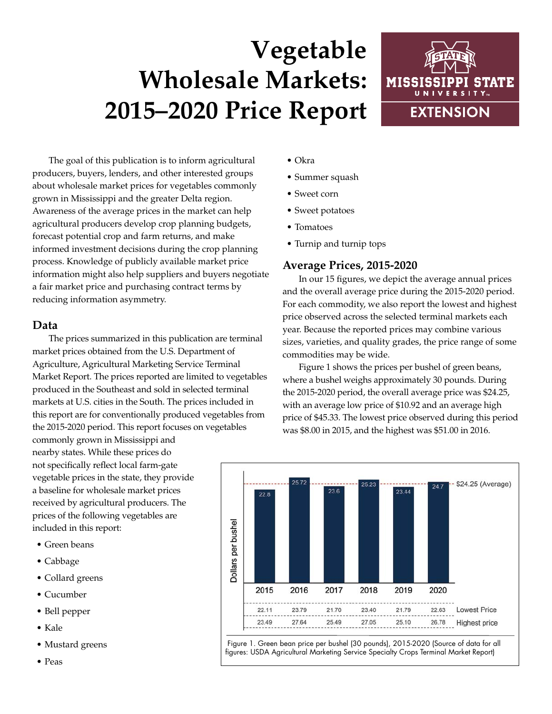# **Vegetable Wholesale Markets: 2015–2020 Price Report**



The goal of this publication is to inform agricultural producers, buyers, lenders, and other interested groups about wholesale market prices for vegetables commonly grown in Mississippi and the greater Delta region. Awareness of the average prices in the market can help agricultural producers develop crop planning budgets, forecast potential crop and farm returns, and make informed investment decisions during the crop planning process. Knowledge of publicly available market price information might also help suppliers and buyers negotiate a fair market price and purchasing contract terms by reducing information asymmetry.

## **Data**

The prices summarized in this publication are terminal market prices obtained from the U.S. Department of Agriculture, Agricultural Marketing Service Terminal Market Report. The prices reported are limited to vegetables produced in the Southeast and sold in selected terminal markets at U.S. cities in the South. The prices included in this report are for conventionally produced vegetables from the 2015-2020 period. This report focuses on vegetables

commonly grown in Mississippi and nearby states. While these prices do not specifically reflect local farm-gate vegetable prices in the state, they provide a baseline for wholesale market prices received by agricultural producers. The prices of the following vegetables are included in this report:

- Green beans
- Cabbage
- Collard greens
- Cucumber
- Bell pepper
- Kale
- Mustard greens
- Peas
- Okra
- Summer squash
- Sweet corn
- Sweet potatoes
- Tomatoes
- Turnip and turnip tops

## **Average Prices, 2015-2020**

In our 15 figures, we depict the average annual prices and the overall average price during the 2015-2020 period. For each commodity, we also report the lowest and highest price observed across the selected terminal markets each year. Because the reported prices may combine various sizes, varieties, and quality grades, the price range of some commodities may be wide.

Figure 1 shows the prices per bushel of green beans, where a bushel weighs approximately 30 pounds. During the 2015-2020 period, the overall average price was \$24.25, with an average low price of \$10.92 and an average high price of \$45.33. The lowest price observed during this period was \$8.00 in 2015, and the highest was \$51.00 in 2016.



 Figure 1. Green bean price per bushel (30 pounds), 2015-2020 (Source of data for all figures: USDA Agricultural Marketing Service Specialty Crops Terminal Market Report)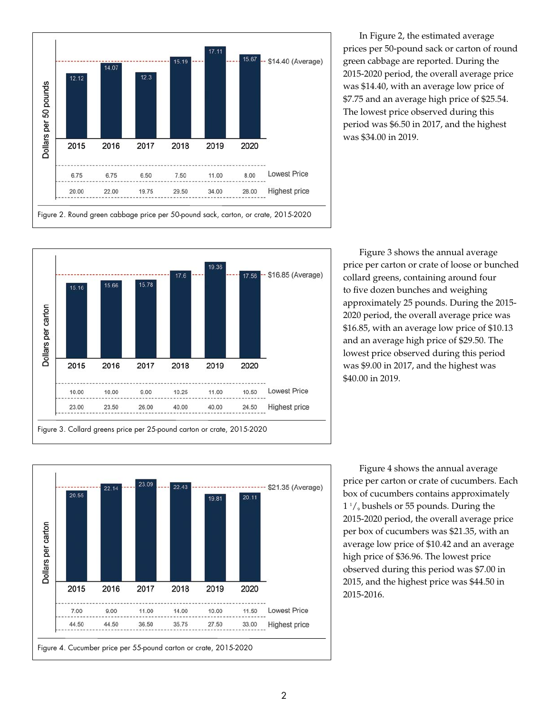![](_page_1_Figure_0.jpeg)

In Figure 2, the estimated average prices per 50-pound sack or carton of round green cabbage are reported. During the 2015-2020 period, the overall average price was \$14.40, with an average low price of \$7.75 and an average high price of \$25.54. The lowest price observed during this period was \$6.50 in 2017, and the highest was \$34.00 in 2019.

![](_page_1_Figure_2.jpeg)

Figure 3 shows the annual average price per carton or crate of loose or bunched collard greens, containing around four to five dozen bunches and weighing approximately 25 pounds. During the 2015- 2020 period, the overall average price was \$16.85, with an average low price of \$10.13 and an average high price of \$29.50. The lowest price observed during this period was \$9.00 in 2017, and the highest was \$40.00 in 2019.

![](_page_1_Figure_4.jpeg)

Figure 4 shows the annual average price per carton or crate of cucumbers. Each box of cucumbers contains approximately 1 1 /9 bushels or 55 pounds. During the 2015-2020 period, the overall average price per box of cucumbers was \$21.35, with an average low price of \$10.42 and an average high price of \$36.96. The lowest price observed during this period was \$7.00 in 2015, and the highest price was \$44.50 in 2015-2016.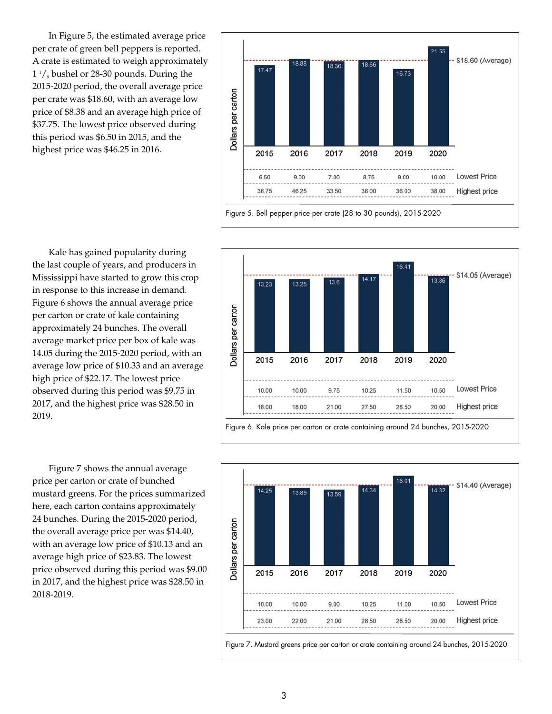In Figure 5, the estimated average price per crate of green bell peppers is reported. A crate is estimated to weigh approximately 1 1 /9 bushel or 28-30 pounds. During the 2015-2020 period, the overall average price per crate was \$18.60, with an average low price of \$8.38 and an average high price of \$37.75. The lowest price observed during this period was \$6.50 in 2015, and the highest price was \$46.25 in 2016.

![](_page_2_Figure_1.jpeg)

Kale has gained popularity during the last couple of years, and producers in Mississippi have started to grow this crop in response to this increase in demand. Figure 6 shows the annual average price per carton or crate of kale containing approximately 24 bunches. The overall average market price per box of kale was 14.05 during the 2015-2020 period, with an average low price of \$10.33 and an average high price of \$22.17. The lowest price observed during this period was \$9.75 in 2017, and the highest price was \$28.50 in 2019.

Figure 7 shows the annual average price per carton or crate of bunched mustard greens. For the prices summarized here, each carton contains approximately 24 bunches. During the 2015-2020 period, the overall average price per was \$14.40, with an average low price of \$10.13 and an average high price of \$23.83. The lowest price observed during this period was \$9.00 in 2017, and the highest price was \$28.50 in 2018-2019.

![](_page_2_Figure_4.jpeg)

![](_page_2_Figure_5.jpeg)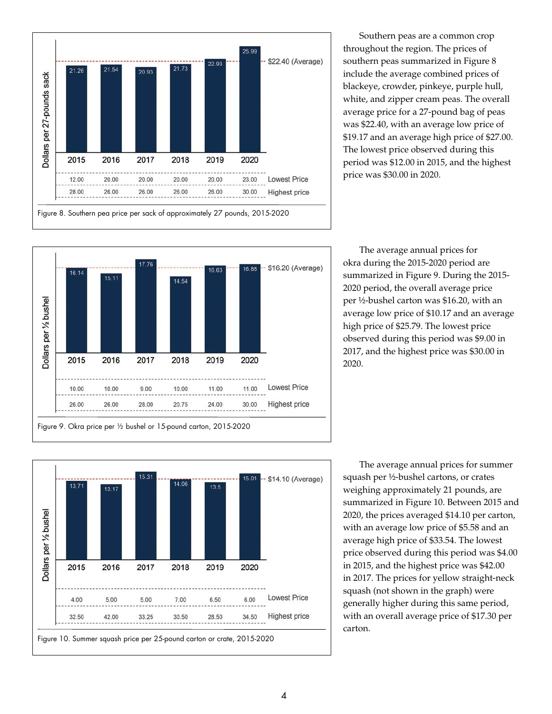![](_page_3_Figure_0.jpeg)

Southern peas are a common crop throughout the region. The prices of southern peas summarized in Figure 8 include the average combined prices of blackeye, crowder, pinkeye, purple hull, white, and zipper cream peas. The overall average price for a 27-pound bag of peas was \$22.40, with an average low price of \$19.17 and an average high price of \$27.00. The lowest price observed during this period was \$12.00 in 2015, and the highest price was \$30.00 in 2020.

![](_page_3_Figure_2.jpeg)

The average annual prices for okra during the 2015-2020 period are summarized in Figure 9. During the 2015- 2020 period, the overall average price per ½-bushel carton was \$16.20, with an average low price of \$10.17 and an average high price of \$25.79. The lowest price observed during this period was \$9.00 in 2017, and the highest price was \$30.00 in 2020.

![](_page_3_Figure_4.jpeg)

The average annual prices for summer squash per ½-bushel cartons, or crates weighing approximately 21 pounds, are summarized in Figure 10. Between 2015 and 2020, the prices averaged \$14.10 per carton, with an average low price of \$5.58 and an average high price of \$33.54. The lowest price observed during this period was \$4.00 in 2015, and the highest price was \$42.00 in 2017. The prices for yellow straight-neck squash (not shown in the graph) were generally higher during this same period, with an overall average price of \$17.30 per carton.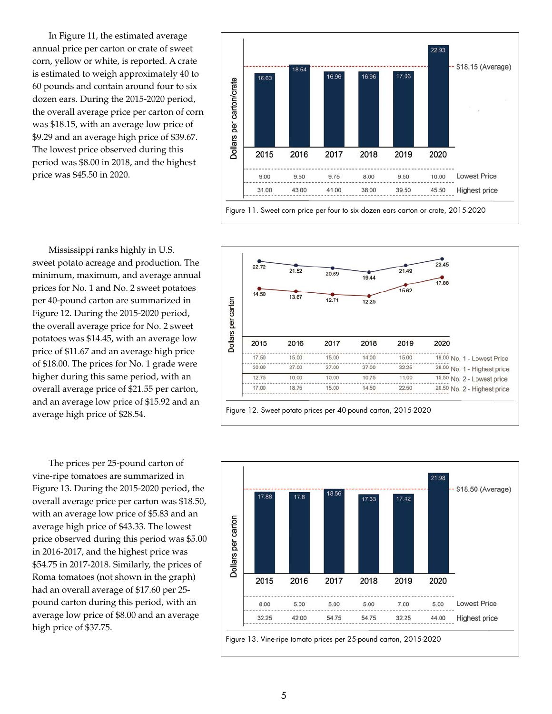In Figure 11, the estimated average annual price per carton or crate of sweet corn, yellow or white, is reported. A crate is estimated to weigh approximately 40 to 60 pounds and contain around four to six dozen ears. During the 2015-2020 period, the overall average price per carton of corn was \$18.15, with an average low price of \$9.29 and an average high price of \$39.67. The lowest price observed during this period was \$8.00 in 2018, and the highest price was \$45.50 in 2020.

![](_page_4_Figure_1.jpeg)

Mississippi ranks highly in U.S. sweet potato acreage and production. The minimum, maximum, and average annual prices for No. 1 and No. 2 sweet potatoes per 40-pound carton are summarized in Figure 12. During the 2015-2020 period, the overall average price for No. 2 sweet potatoes was \$14.45, with an average low price of \$11.67 and an average high price of \$18.00. The prices for No. 1 grade were higher during this same period, with an overall average price of \$21.55 per carton, and an average low price of \$15.92 and an average high price of \$28.54.

The prices per 25-pound carton of vine-ripe tomatoes are summarized in Figure 13. During the 2015-2020 period, the overall average price per carton was \$18.50, with an average low price of \$5.83 and an average high price of \$43.33. The lowest price observed during this period was \$5.00 in 2016-2017, and the highest price was \$54.75 in 2017-2018. Similarly, the prices of Roma tomatoes (not shown in the graph) had an overall average of \$17.60 per 25 pound carton during this period, with an average low price of \$8.00 and an average high price of \$37.75.

![](_page_4_Figure_4.jpeg)

![](_page_4_Figure_5.jpeg)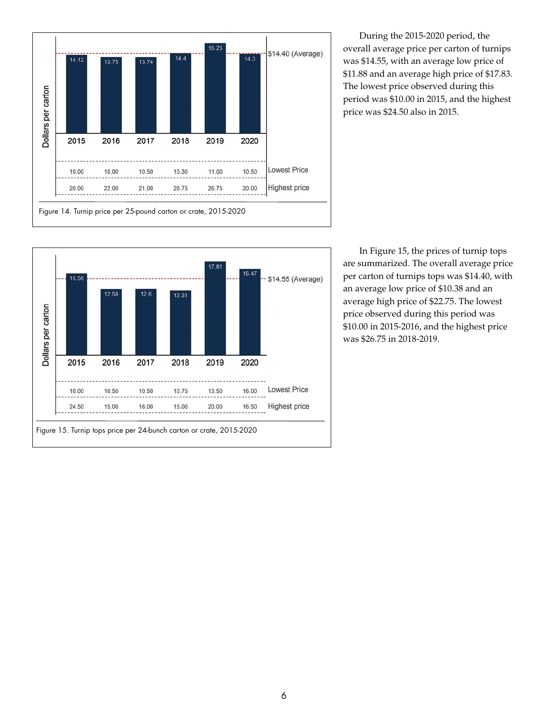![](_page_5_Figure_0.jpeg)

During the 2015-2020 period, the overall average price per carton of turnips was \$14.55, with an average low price of \$11.88 and an average high price of \$17.83. The lowest price observed during this period was \$10.00 in 2015, and the highest price was \$24.50 also in 2015.

![](_page_5_Figure_2.jpeg)

In Figure 15, the prices of turnip tops are summarized. The overall average price per carton of turnips tops was \$14.40, with an average low price of \$10.38 and an average high price of \$22.75. The lowest price observed during this period was \$10.00 in 2015-2016, and the highest price was \$26.75 in 2018-2019.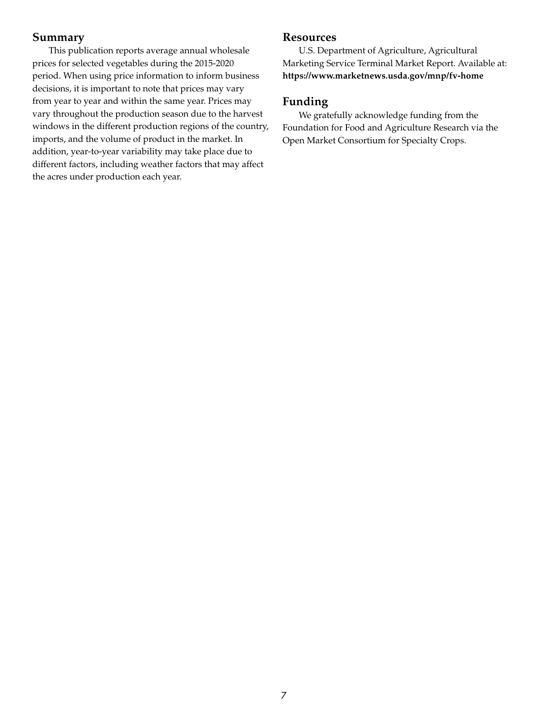#### **Summary**

This publication reports average annual wholesale prices for selected vegetables during the 2015-2020 period. When using price information to inform business decisions, it is important to note that prices may vary from year to year and within the same year. Prices may vary throughout the production season due to the harvest windows in the different production regions of the country, imports, and the volume of product in the market. In addition, year-to-year variability may take place due to different factors, including weather factors that may affect the acres under production each year.

#### **Resources**

U.S. Department of Agriculture, Agricultural Marketing Service Terminal Market Report. Available at: **https://www.marketnews.usda.gov/mnp/fv-home**

### **Funding**

We gratefully acknowledge funding from the Foundation for Food and Agriculture Research via the Open Market Consortium for Specialty Crops.